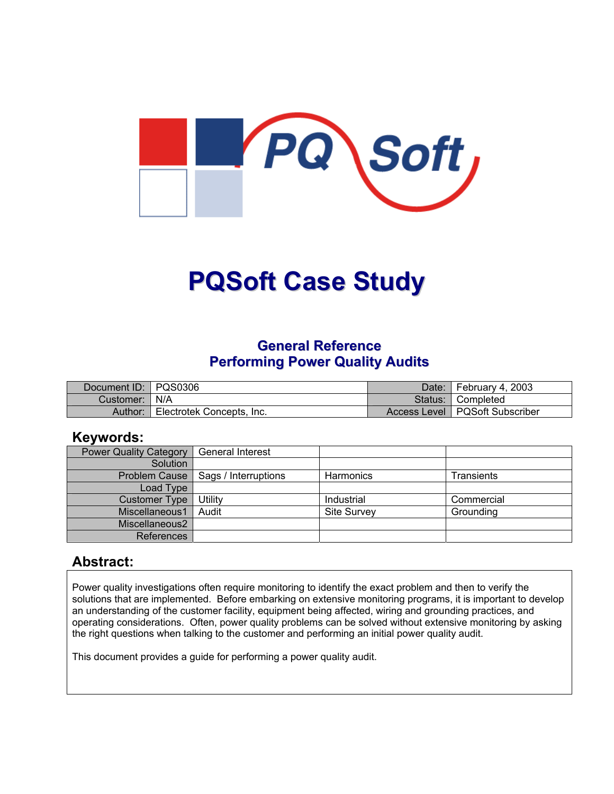

# **PQSoft Case Study**

# **General Reference Performing Power Quality Audits**

| Document ID:   PQS0306 |                           | Date: February 4, 2003           |
|------------------------|---------------------------|----------------------------------|
| Customer:   N/A        |                           | Status: Completed                |
| Author:                | Electrotek Concepts, Inc. | Access Level   PQSoft Subscriber |

#### **Keywords:**

| <b>Power Quality Category</b> | <b>General Interest</b>              |                    |            |
|-------------------------------|--------------------------------------|--------------------|------------|
| Solution                      |                                      |                    |            |
|                               | Problem Cause   Sags / Interruptions | <b>Harmonics</b>   | Transients |
| Load Type                     |                                      |                    |            |
| <b>Customer Type</b>          | Utility                              | Industrial         | Commercial |
| Miscellaneous1                | Audit                                | <b>Site Survey</b> | Grounding  |
| Miscellaneous2                |                                      |                    |            |
| References                    |                                      |                    |            |

### **Abstract:**

Power quality investigations often require monitoring to identify the exact problem and then to verify the solutions that are implemented. Before embarking on extensive monitoring programs, it is important to develop an understanding of the customer facility, equipment being affected, wiring and grounding practices, and operating considerations. Often, power quality problems can be solved without extensive monitoring by asking the right questions when talking to the customer and performing an initial power quality audit.

This document provides a guide for performing a power quality audit.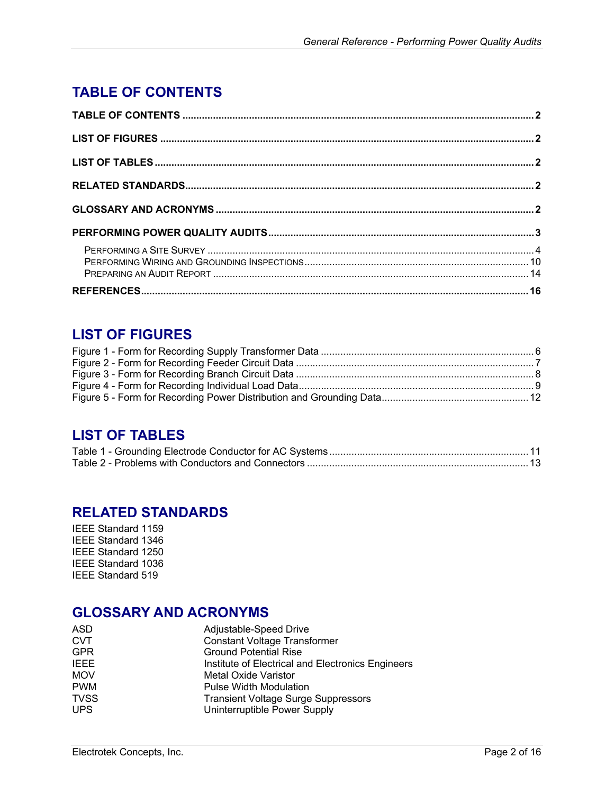# <span id="page-1-0"></span>**TABLE OF CONTENTS**

# **LIST OF FIGURES**

# **LIST OF TABLES**

### **RELATED STANDARDS**

IEEE Standard 1159 IEEE Standard 1346 IEEE Standard 1250 IEEE Standard 1036 IEEE Standard 519

### **GLOSSARY AND ACRONYMS**

| ASD         | Adjustable-Speed Drive                            |
|-------------|---------------------------------------------------|
| <b>CVT</b>  | <b>Constant Voltage Transformer</b>               |
| <b>GPR</b>  | <b>Ground Potential Rise</b>                      |
| <b>IEEE</b> | Institute of Electrical and Electronics Engineers |
| <b>MOV</b>  | <b>Metal Oxide Varistor</b>                       |
| <b>PWM</b>  | <b>Pulse Width Modulation</b>                     |
| <b>TVSS</b> | <b>Transient Voltage Surge Suppressors</b>        |
| <b>UPS</b>  | Uninterruptible Power Supply                      |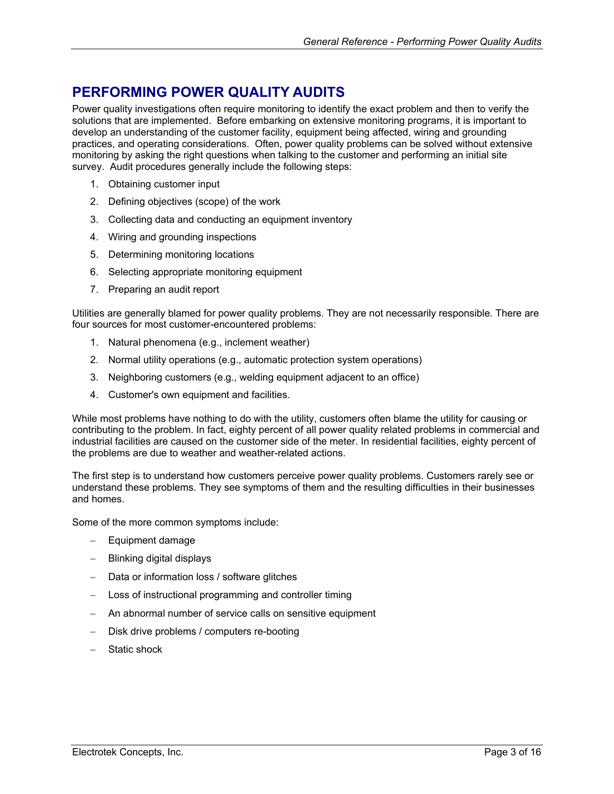# <span id="page-2-0"></span>**PERFORMING POWER QUALITY AUDITS**

Power quality investigations often require monitoring to identify the exact problem and then to verify the solutions that are implemented. Before embarking on extensive monitoring programs, it is important to develop an understanding of the customer facility, equipment being affected, wiring and grounding practices, and operating considerations. Often, power quality problems can be solved without extensive monitoring by asking the right questions when talking to the customer and performing an initial site survey. Audit procedures generally include the following steps:

- 1. Obtaining customer input
- 2. Defining objectives (scope) of the work
- 3. Collecting data and conducting an equipment inventory
- 4. Wiring and grounding inspections
- 5. Determining monitoring locations
- 6. Selecting appropriate monitoring equipment
- 7. Preparing an audit report

Utilities are generally blamed for power quality problems. They are not necessarily responsible. There are four sources for most customer-encountered problems:

- 1. Natural phenomena (e.g., inclement weather)
- 2. Normal utility operations (e.g., automatic protection system operations)
- 3. Neighboring customers (e.g., welding equipment adjacent to an office)
- 4. Customer's own equipment and facilities.

While most problems have nothing to do with the utility, customers often blame the utility for causing or contributing to the problem. In fact, eighty percent of all power quality related problems in commercial and industrial facilities are caused on the customer side of the meter. In residential facilities, eighty percent of the problems are due to weather and weather-related actions.

The first step is to understand how customers perceive power quality problems. Customers rarely see or understand these problems. They see symptoms of them and the resulting difficulties in their businesses and homes.

Some of the more common symptoms include:

- − Equipment damage
- − Blinking digital displays
- Data or information loss / software glitches
- Loss of instructional programming and controller timing
- An abnormal number of service calls on sensitive equipment
- − Disk drive problems / computers re-booting
- − Static shock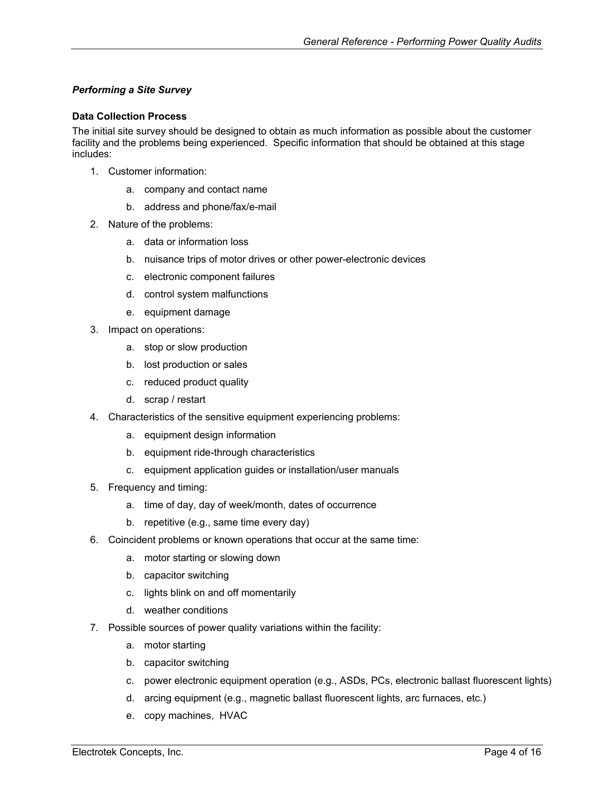#### <span id="page-3-0"></span>*Performing a Site Survey*

#### **Data Collection Process**

The initial site survey should be designed to obtain as much information as possible about the customer facility and the problems being experienced. Specific information that should be obtained at this stage includes:

- 1. Customer information:
	- a. company and contact name
	- b. address and phone/fax/e-mail
- 2. Nature of the problems:
	- a. data or information loss
	- b. nuisance trips of motor drives or other power-electronic devices
	- c. electronic component failures
	- d. control system malfunctions
	- e. equipment damage
- 3. Impact on operations:
	- a. stop or slow production
	- b. lost production or sales
	- c. reduced product quality
	- d. scrap / restart
- 4. Characteristics of the sensitive equipment experiencing problems:
	- a. equipment design information
	- b. equipment ride-through characteristics
	- c. equipment application guides or installation/user manuals
- 5. Frequency and timing:
	- a. time of day, day of week/month, dates of occurrence
	- b. repetitive (e.g., same time every day)
- 6. Coincident problems or known operations that occur at the same time:
	- a. motor starting or slowing down
	- b. capacitor switching
	- c. lights blink on and off momentarily
	- d. weather conditions
- 7. Possible sources of power quality variations within the facility:
	- a. motor starting
	- b. capacitor switching
	- c. power electronic equipment operation (e.g., ASDs, PCs, electronic ballast fluorescent lights)
	- d. arcing equipment (e.g., magnetic ballast fluorescent lights, arc furnaces, etc.)
	- e. copy machines, HVAC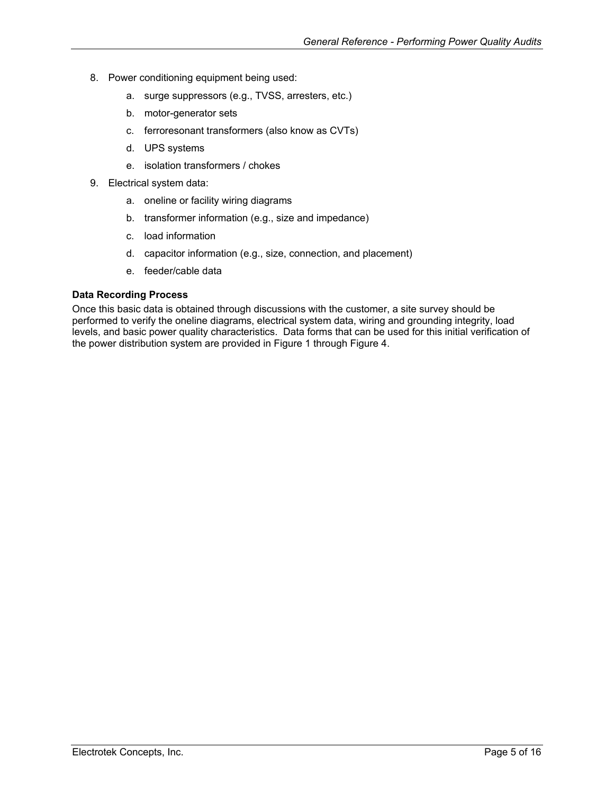- 8. Power conditioning equipment being used:
	- a. surge suppressors (e.g., TVSS, arresters, etc.)
	- b. motor-generator sets
	- c. ferroresonant transformers (also know as CVTs)
	- d. UPS systems
	- e. isolation transformers / chokes
- 9. Electrical system data:
	- a. oneline or facility wiring diagrams
	- b. transformer information (e.g., size and impedance)
	- c. load information
	- d. capacitor information (e.g., size, connection, and placement)
	- e. feeder/cable data

#### **Data Recording Process**

Once this basic data is obtained through discussions with the customer, a site survey should be performed to verify the oneline diagrams, electrical system data, wiring and grounding integrity, load levels, and basic power quality characteristics. Data forms that can be used for this initial verification of the power distribution system are provided in [Figure 1](#page-5-1) through [Figure](#page-8-1) 4.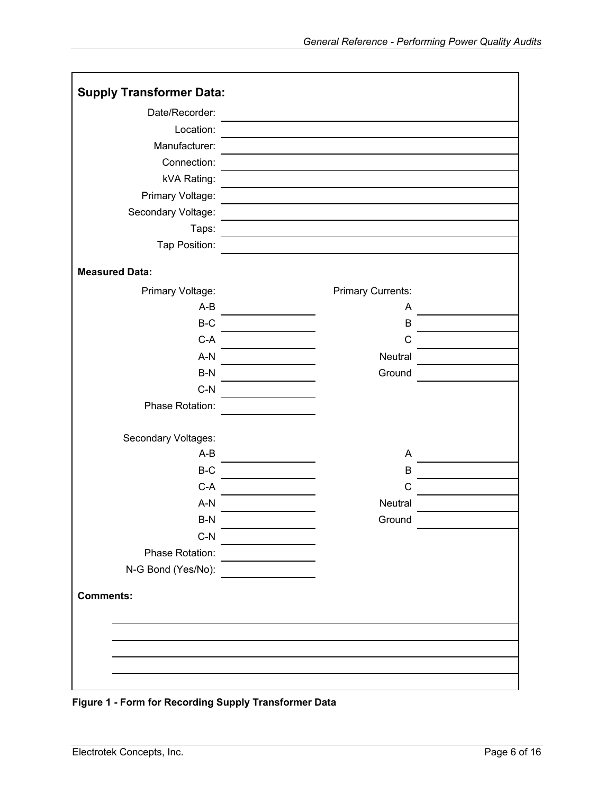<span id="page-5-0"></span>

| <b>Supply Transformer Data:</b> |                          |  |
|---------------------------------|--------------------------|--|
| Date/Recorder:                  |                          |  |
| Location:                       |                          |  |
| Manufacturer:                   |                          |  |
| Connection:                     |                          |  |
| kVA Rating:                     |                          |  |
| Primary Voltage:                |                          |  |
| Secondary Voltage:              |                          |  |
| Taps:                           |                          |  |
| Tap Position:                   |                          |  |
| <b>Measured Data:</b>           |                          |  |
| Primary Voltage:                | <b>Primary Currents:</b> |  |
| $A-B$                           | A                        |  |
| $B-C$                           | B                        |  |
| $C-A$                           | $\mathsf C$              |  |
| $A-N$                           | Neutral                  |  |
| $B-N$                           | Ground                   |  |
| $C-N$                           |                          |  |
| Phase Rotation:                 |                          |  |
| Secondary Voltages:             |                          |  |
| $A-B$                           | A                        |  |
| $B-C$                           | B                        |  |
| $C-A$                           | C                        |  |
| $A-N$                           | Neutral                  |  |
| B-N                             | Ground                   |  |
| $C-N$                           |                          |  |
| Phase Rotation:                 |                          |  |
| N-G Bond (Yes/No):              |                          |  |
| <b>Comments:</b>                |                          |  |
|                                 |                          |  |
|                                 |                          |  |
|                                 |                          |  |
|                                 |                          |  |

<span id="page-5-1"></span>**Figure 1 - Form for Recording Supply Transformer Data**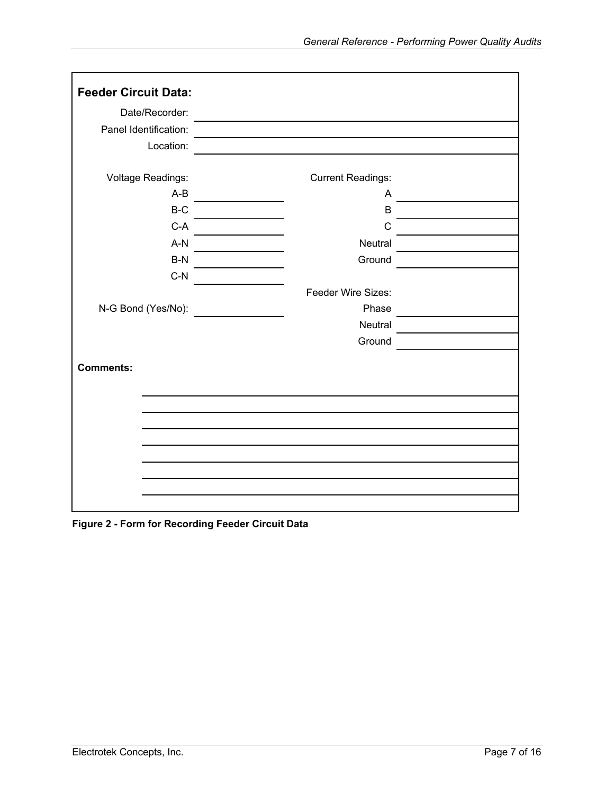<span id="page-6-0"></span>

| <b>Feeder Circuit Data:</b> |                          |  |
|-----------------------------|--------------------------|--|
| Date/Recorder:              |                          |  |
| Panel Identification:       |                          |  |
| Location:                   |                          |  |
|                             |                          |  |
| Voltage Readings:           | <b>Current Readings:</b> |  |
| $A-B$                       | A                        |  |
| $B-C$                       | $\mathsf B$              |  |
| $C-A$                       | C                        |  |
| $A-N$                       | Neutral                  |  |
| $B-N$                       | Ground                   |  |
| $C-N$                       |                          |  |
|                             | Feeder Wire Sizes:       |  |
| N-G Bond (Yes/No):          | Phase                    |  |
|                             | Neutral                  |  |
|                             | Ground                   |  |
| <b>Comments:</b>            |                          |  |
|                             |                          |  |
|                             |                          |  |
|                             |                          |  |
|                             |                          |  |
|                             |                          |  |
|                             |                          |  |
|                             |                          |  |
|                             |                          |  |
|                             |                          |  |

**Figure 2 - Form for Recording Feeder Circuit Data**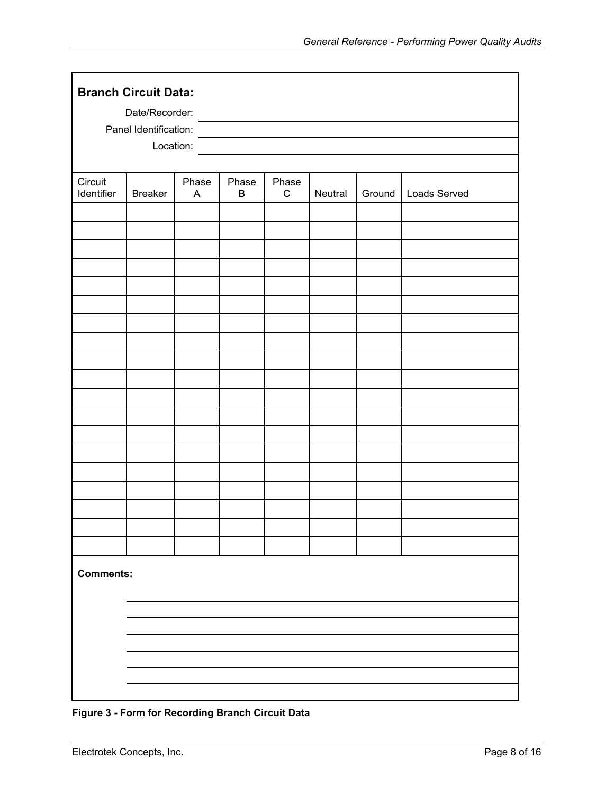<span id="page-7-0"></span>

|                       | <b>Branch Circuit Data:</b><br>Date/Recorder: |                                    |                  |                      |         |        |              |
|-----------------------|-----------------------------------------------|------------------------------------|------------------|----------------------|---------|--------|--------------|
|                       | Panel Identification:<br>Location:            |                                    |                  |                      |         |        |              |
| Circuit<br>Identifier | <b>Breaker</b>                                | Phase<br>$\boldsymbol{\mathsf{A}}$ | Phase<br>$\sf B$ | Phase<br>$\mathbf C$ | Neutral | Ground | Loads Served |
|                       |                                               |                                    |                  |                      |         |        |              |
|                       |                                               |                                    |                  |                      |         |        |              |
|                       |                                               |                                    |                  |                      |         |        |              |
|                       |                                               |                                    |                  |                      |         |        |              |
|                       |                                               |                                    |                  |                      |         |        |              |
|                       |                                               |                                    |                  |                      |         |        |              |
|                       |                                               |                                    |                  |                      |         |        |              |
|                       |                                               |                                    |                  |                      |         |        |              |
| <b>Comments:</b>      |                                               |                                    |                  |                      |         |        |              |
|                       |                                               |                                    |                  |                      |         |        |              |
|                       |                                               |                                    |                  |                      |         |        |              |
|                       |                                               |                                    |                  |                      |         |        |              |

**Figure 3 - Form for Recording Branch Circuit Data**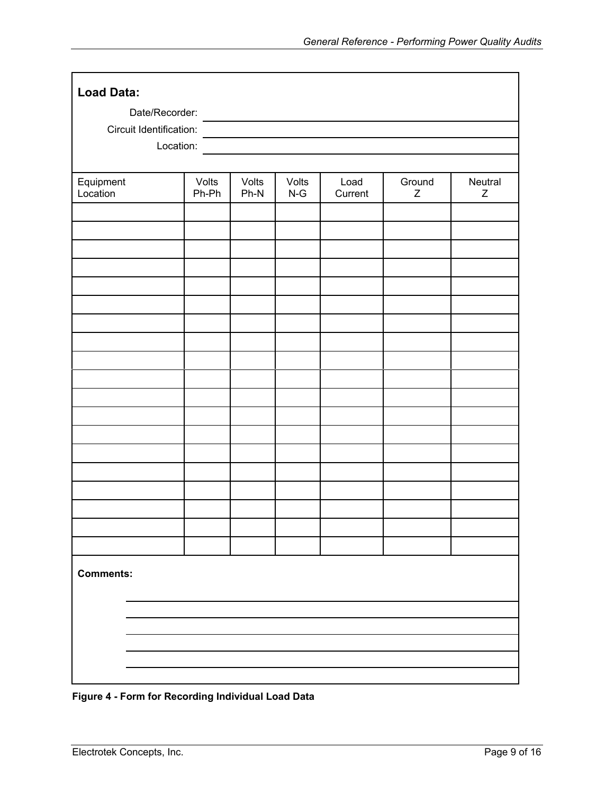<span id="page-8-0"></span>

| <b>Load Data:</b>       |                |                 |                |                 |                       |              |
|-------------------------|----------------|-----------------|----------------|-----------------|-----------------------|--------------|
| Date/Recorder:          |                |                 |                |                 |                       |              |
| Circuit Identification: |                |                 |                |                 |                       |              |
| Location:               |                |                 |                |                 |                       |              |
|                         |                |                 |                |                 |                       |              |
| Equipment<br>Location   | Volts<br>Ph-Ph | Volts<br>$Ph-N$ | Volts<br>$N-G$ | Load<br>Current | Ground<br>$\mathsf Z$ | Neutral<br>Z |
|                         |                |                 |                |                 |                       |              |
|                         |                |                 |                |                 |                       |              |
|                         |                |                 |                |                 |                       |              |
|                         |                |                 |                |                 |                       |              |
|                         |                |                 |                |                 |                       |              |
|                         |                |                 |                |                 |                       |              |
|                         |                |                 |                |                 |                       |              |
|                         |                |                 |                |                 |                       |              |
|                         |                |                 |                |                 |                       |              |
|                         |                |                 |                |                 |                       |              |
|                         |                |                 |                |                 |                       |              |
|                         |                |                 |                |                 |                       |              |
|                         |                |                 |                |                 |                       |              |
|                         |                |                 |                |                 |                       |              |
|                         |                |                 |                |                 |                       |              |
|                         |                |                 |                |                 |                       |              |
|                         |                |                 |                |                 |                       |              |
| <b>Comments:</b>        |                |                 |                |                 |                       |              |
|                         |                |                 |                |                 |                       |              |
|                         |                |                 |                |                 |                       |              |
|                         |                |                 |                |                 |                       |              |
|                         |                |                 |                |                 |                       |              |

<span id="page-8-1"></span>**Figure 4 - Form for Recording Individual Load Data**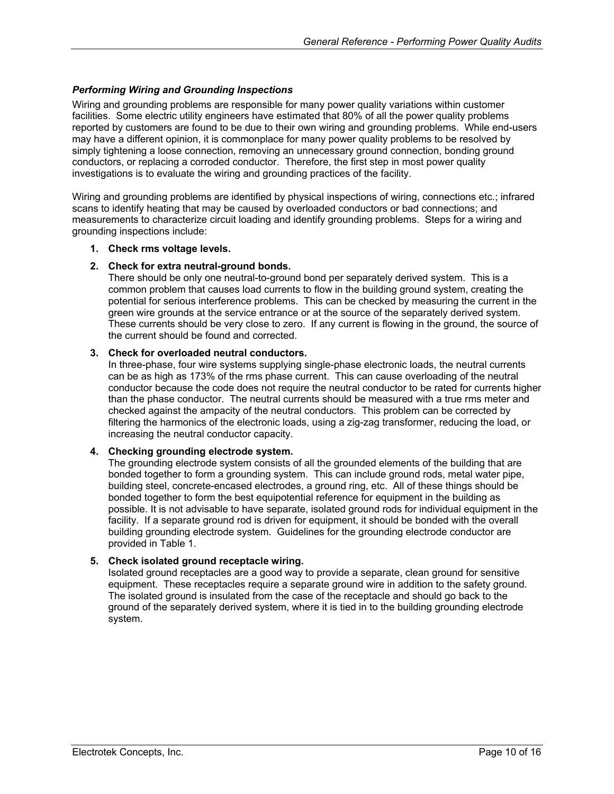#### <span id="page-9-0"></span>*Performing Wiring and Grounding Inspections*

Wiring and grounding problems are responsible for many power quality variations within customer facilities. Some electric utility engineers have estimated that 80% of all the power quality problems reported by customers are found to be due to their own wiring and grounding problems. While end-users may have a different opinion, it is commonplace for many power quality problems to be resolved by simply tightening a loose connection, removing an unnecessary ground connection, bonding ground conductors, or replacing a corroded conductor. Therefore, the first step in most power quality investigations is to evaluate the wiring and grounding practices of the facility.

Wiring and grounding problems are identified by physical inspections of wiring, connections etc.; infrared scans to identify heating that may be caused by overloaded conductors or bad connections; and measurements to characterize circuit loading and identify grounding problems. Steps for a wiring and grounding inspections include:

#### **1. Check rms voltage levels.**

#### **2. Check for extra neutral-ground bonds.**

There should be only one neutral-to-ground bond per separately derived system. This is a common problem that causes load currents to flow in the building ground system, creating the potential for serious interference problems. This can be checked by measuring the current in the green wire grounds at the service entrance or at the source of the separately derived system. These currents should be very close to zero. If any current is flowing in the ground, the source of the current should be found and corrected.

#### **3. Check for overloaded neutral conductors.**

In three-phase, four wire systems supplying single-phase electronic loads, the neutral currents can be as high as 173% of the rms phase current. This can cause overloading of the neutral conductor because the code does not require the neutral conductor to be rated for currents higher than the phase conductor. The neutral currents should be measured with a true rms meter and checked against the ampacity of the neutral conductors. This problem can be corrected by filtering the harmonics of the electronic loads, using a zig-zag transformer, reducing the load, or increasing the neutral conductor capacity.

#### **4. Checking grounding electrode system.**

The grounding electrode system consists of all the grounded elements of the building that are bonded together to form a grounding system. This can include ground rods, metal water pipe, building steel, concrete-encased electrodes, a ground ring, etc. All of these things should be bonded together to form the best equipotential reference for equipment in the building as possible. It is not advisable to have separate, isolated ground rods for individual equipment in the facility. If a separate ground rod is driven for equipment, it should be bonded with the overall building grounding electrode system. Guidelines for the grounding electrode conductor are provided in [Table](#page-10-1) 1.

#### **5. Check isolated ground receptacle wiring.**

Isolated ground receptacles are a good way to provide a separate, clean ground for sensitive equipment. These receptacles require a separate ground wire in addition to the safety ground. The isolated ground is insulated from the case of the receptacle and should go back to the ground of the separately derived system, where it is tied in to the building grounding electrode system.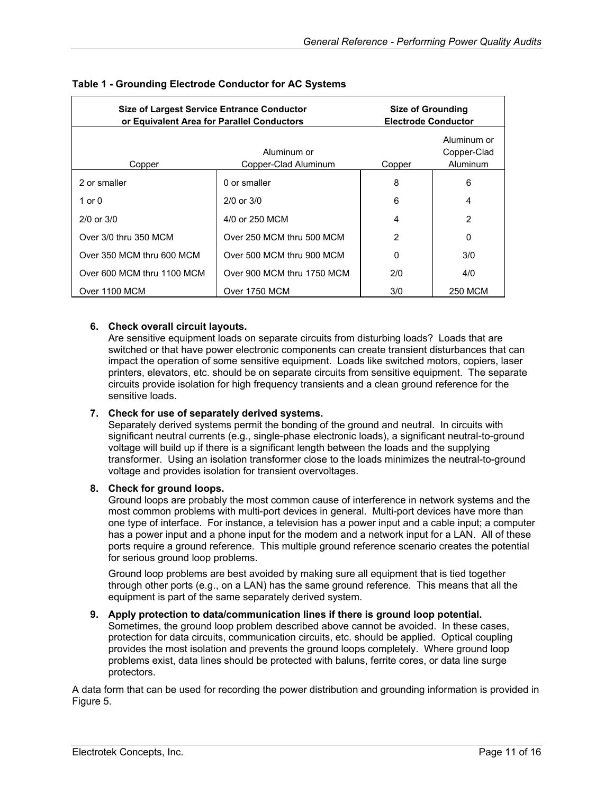| <b>Size of Largest Service Entrance Conductor</b><br>or Equivalent Area for Parallel Conductors |                                     | <b>Size of Grounding</b><br><b>Electrode Conductor</b> |                                        |  |
|-------------------------------------------------------------------------------------------------|-------------------------------------|--------------------------------------------------------|----------------------------------------|--|
| Copper                                                                                          | Aluminum or<br>Copper-Clad Aluminum | Copper                                                 | Aluminum or<br>Copper-Clad<br>Aluminum |  |
| 2 or smaller                                                                                    | 0 or smaller                        | 8                                                      | 6                                      |  |
| 1 or 0                                                                                          | $2/0$ or $3/0$                      | 6                                                      | 4                                      |  |
| $2/0$ or $3/0$                                                                                  | 4/0 or 250 MCM                      | 4                                                      | $\overline{2}$                         |  |
| Over 3/0 thru 350 MCM                                                                           | Over 250 MCM thru 500 MCM           | 2                                                      | 0                                      |  |
| Over 350 MCM thru 600 MCM                                                                       | Over 500 MCM thru 900 MCM           | 0                                                      | 3/0                                    |  |
| Over 600 MCM thru 1100 MCM                                                                      | Over 900 MCM thru 1750 MCM          | 2/0                                                    | 4/0                                    |  |
| Over 1100 MCM                                                                                   | Over 1750 MCM                       | 3/0                                                    | <b>250 MCM</b>                         |  |

#### <span id="page-10-1"></span><span id="page-10-0"></span>**Table 1 - Grounding Electrode Conductor for AC Systems**

#### **6. Check overall circuit layouts.**

Are sensitive equipment loads on separate circuits from disturbing loads? Loads that are switched or that have power electronic components can create transient disturbances that can impact the operation of some sensitive equipment. Loads like switched motors, copiers, laser printers, elevators, etc. should be on separate circuits from sensitive equipment. The separate circuits provide isolation for high frequency transients and a clean ground reference for the sensitive loads.

#### **7. Check for use of separately derived systems.**

Separately derived systems permit the bonding of the ground and neutral. In circuits with significant neutral currents (e.g., single-phase electronic loads), a significant neutral-to-ground voltage will build up if there is a significant length between the loads and the supplying transformer. Using an isolation transformer close to the loads minimizes the neutral-to-ground voltage and provides isolation for transient overvoltages.

#### **8. Check for ground loops.**

Ground loops are probably the most common cause of interference in network systems and the most common problems with multi-port devices in general. Multi-port devices have more than one type of interface. For instance, a television has a power input and a cable input; a computer has a power input and a phone input for the modem and a network input for a LAN. All of these ports require a ground reference. This multiple ground reference scenario creates the potential for serious ground loop problems.

Ground loop problems are best avoided by making sure all equipment that is tied together through other ports (e.g., on a LAN) has the same ground reference. This means that all the equipment is part of the same separately derived system.

#### **9. Apply protection to data/communication lines if there is ground loop potential.**

Sometimes, the ground loop problem described above cannot be avoided. In these cases, protection for data circuits, communication circuits, etc. should be applied. Optical coupling provides the most isolation and prevents the ground loops completely. Where ground loop problems exist, data lines should be protected with baluns, ferrite cores, or data line surge protectors.

A data form that can be used for recording the power distribution and grounding information is provided in [Figure](#page-11-1) 5.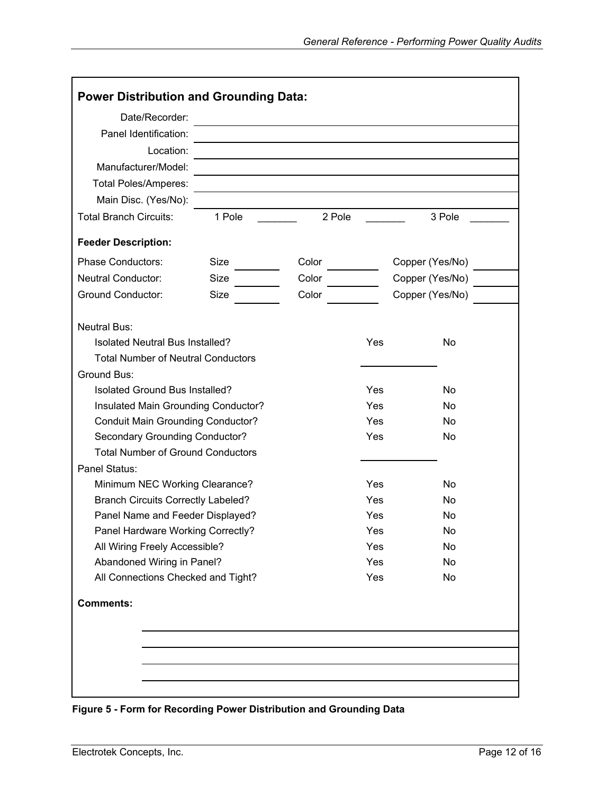<span id="page-11-0"></span>

| Date/Recorder:                            |             |        |     |                 |
|-------------------------------------------|-------------|--------|-----|-----------------|
| Panel Identification:                     |             |        |     |                 |
| Location:                                 |             |        |     |                 |
| Manufacturer/Model:                       |             |        |     |                 |
| <b>Total Poles/Amperes:</b>               |             |        |     |                 |
| Main Disc. (Yes/No):                      |             |        |     |                 |
| <b>Total Branch Circuits:</b>             | 1 Pole      | 2 Pole |     | 3 Pole          |
| <b>Feeder Description:</b>                |             |        |     |                 |
| <b>Phase Conductors:</b>                  | Size        | Color  |     | Copper (Yes/No) |
| Neutral Conductor:                        | Size        | Color  |     | Copper (Yes/No) |
| <b>Ground Conductor:</b>                  | <b>Size</b> | Color  |     | Copper (Yes/No) |
| <b>Neutral Bus:</b>                       |             |        |     |                 |
| Isolated Neutral Bus Installed?           |             |        | Yes | <b>No</b>       |
| <b>Total Number of Neutral Conductors</b> |             |        |     |                 |
| Ground Bus:                               |             |        |     |                 |
| Isolated Ground Bus Installed?            |             |        | Yes | <b>No</b>       |
| Insulated Main Grounding Conductor?       |             |        | Yes | <b>No</b>       |
| <b>Conduit Main Grounding Conductor?</b>  |             |        | Yes | <b>No</b>       |
| Secondary Grounding Conductor?            |             |        | Yes | No              |
| <b>Total Number of Ground Conductors</b>  |             |        |     |                 |
| Panel Status:                             |             |        |     |                 |
| Minimum NEC Working Clearance?            |             |        | Yes | <b>No</b>       |
| <b>Branch Circuits Correctly Labeled?</b> |             |        | Yes | No              |
| Panel Name and Feeder Displayed?          |             |        | Yes | No              |
| Panel Hardware Working Correctly?         |             |        | Yes | No              |
| All Wiring Freely Accessible?             |             |        | Yes | No              |
| Abandoned Wiring in Panel?                |             |        | Yes | No              |
| All Connections Checked and Tight?        |             |        | Yes | No              |
| <b>Comments:</b>                          |             |        |     |                 |
|                                           |             |        |     |                 |
|                                           |             |        |     |                 |
|                                           |             |        |     |                 |

<span id="page-11-1"></span>**Figure 5 - Form for Recording Power Distribution and Grounding Data**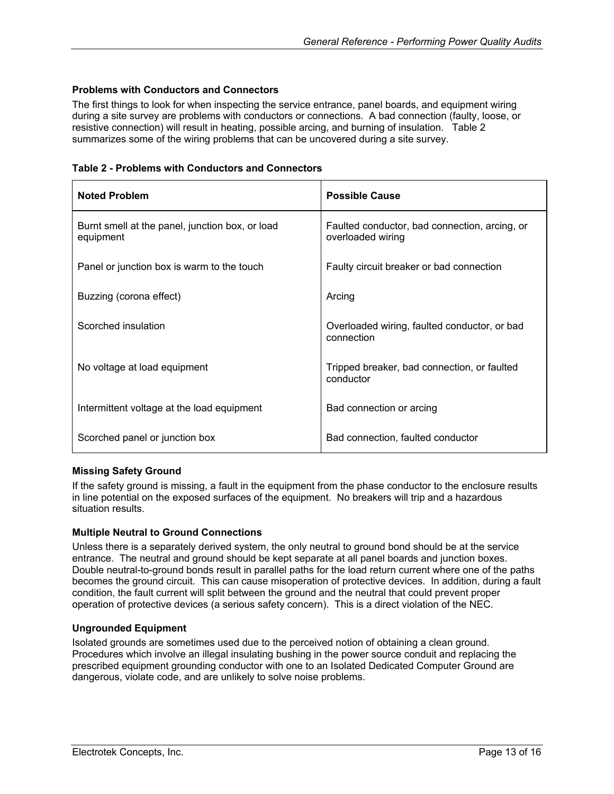#### <span id="page-12-0"></span>**Problems with Conductors and Connectors**

The first things to look for when inspecting the service entrance, panel boards, and equipment wiring during a site survey are problems with conductors or connections. A bad connection (faulty, loose, or resistive connection) will result in heating, possible arcing, and burning of insulation. [Table 2](#page-12-1)  summarizes some of the wiring problems that can be uncovered during a site survey.

<span id="page-12-1"></span>

| Table 2 - Problems with Conductors and Connectors |  |  |  |  |  |  |  |
|---------------------------------------------------|--|--|--|--|--|--|--|
|---------------------------------------------------|--|--|--|--|--|--|--|

| <b>Noted Problem</b>                                         | <b>Possible Cause</b>                                              |
|--------------------------------------------------------------|--------------------------------------------------------------------|
| Burnt smell at the panel, junction box, or load<br>equipment | Faulted conductor, bad connection, arcing, or<br>overloaded wiring |
| Panel or junction box is warm to the touch                   | Faulty circuit breaker or bad connection                           |
| Buzzing (corona effect)                                      | Arcing                                                             |
| Scorched insulation                                          | Overloaded wiring, faulted conductor, or bad<br>connection         |
| No voltage at load equipment                                 | Tripped breaker, bad connection, or faulted<br>conductor           |
| Intermittent voltage at the load equipment                   | Bad connection or arcing                                           |
| Scorched panel or junction box                               | Bad connection, faulted conductor                                  |

#### **Missing Safety Ground**

If the safety ground is missing, a fault in the equipment from the phase conductor to the enclosure results in line potential on the exposed surfaces of the equipment. No breakers will trip and a hazardous situation results.

#### **Multiple Neutral to Ground Connections**

Unless there is a separately derived system, the only neutral to ground bond should be at the service entrance. The neutral and ground should be kept separate at all panel boards and junction boxes. Double neutral-to-ground bonds result in parallel paths for the load return current where one of the paths becomes the ground circuit. This can cause misoperation of protective devices. In addition, during a fault condition, the fault current will split between the ground and the neutral that could prevent proper operation of protective devices (a serious safety concern). This is a direct violation of the NEC.

#### **Ungrounded Equipment**

Isolated grounds are sometimes used due to the perceived notion of obtaining a clean ground. Procedures which involve an illegal insulating bushing in the power source conduit and replacing the prescribed equipment grounding conductor with one to an Isolated Dedicated Computer Ground are dangerous, violate code, and are unlikely to solve noise problems.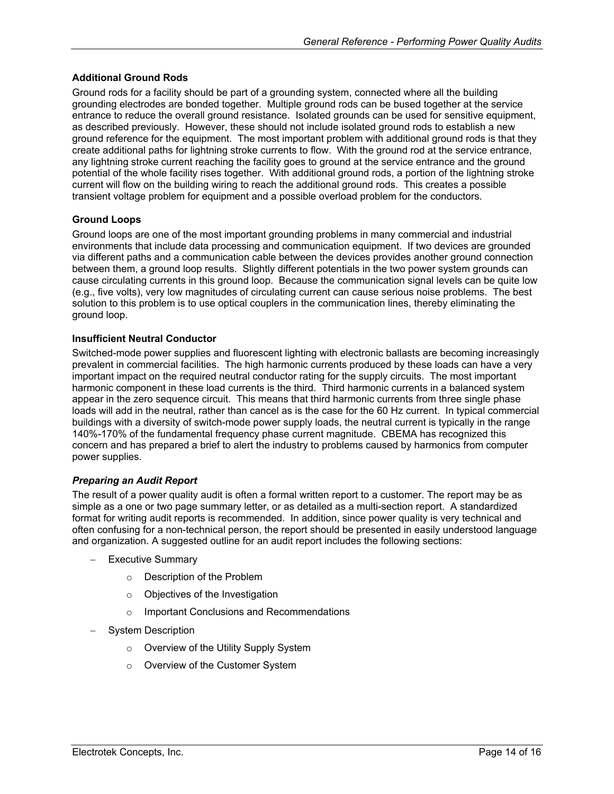#### <span id="page-13-0"></span>**Additional Ground Rods**

Ground rods for a facility should be part of a grounding system, connected where all the building grounding electrodes are bonded together. Multiple ground rods can be bused together at the service entrance to reduce the overall ground resistance. Isolated grounds can be used for sensitive equipment, as described previously. However, these should not include isolated ground rods to establish a new ground reference for the equipment. The most important problem with additional ground rods is that they create additional paths for lightning stroke currents to flow. With the ground rod at the service entrance, any lightning stroke current reaching the facility goes to ground at the service entrance and the ground potential of the whole facility rises together. With additional ground rods, a portion of the lightning stroke current will flow on the building wiring to reach the additional ground rods. This creates a possible transient voltage problem for equipment and a possible overload problem for the conductors.

#### **Ground Loops**

Ground loops are one of the most important grounding problems in many commercial and industrial environments that include data processing and communication equipment. If two devices are grounded via different paths and a communication cable between the devices provides another ground connection between them, a ground loop results. Slightly different potentials in the two power system grounds can cause circulating currents in this ground loop. Because the communication signal levels can be quite low (e.g., five volts), very low magnitudes of circulating current can cause serious noise problems. The best solution to this problem is to use optical couplers in the communication lines, thereby eliminating the ground loop.

#### **Insufficient Neutral Conductor**

Switched-mode power supplies and fluorescent lighting with electronic ballasts are becoming increasingly prevalent in commercial facilities. The high harmonic currents produced by these loads can have a very important impact on the required neutral conductor rating for the supply circuits. The most important harmonic component in these load currents is the third. Third harmonic currents in a balanced system appear in the zero sequence circuit. This means that third harmonic currents from three single phase loads will add in the neutral, rather than cancel as is the case for the 60 Hz current. In typical commercial buildings with a diversity of switch-mode power supply loads, the neutral current is typically in the range 140%-170% of the fundamental frequency phase current magnitude. CBEMA has recognized this concern and has prepared a brief to alert the industry to problems caused by harmonics from computer power supplies.

#### *Preparing an Audit Report*

The result of a power quality audit is often a formal written report to a customer. The report may be as simple as a one or two page summary letter, or as detailed as a multi-section report. A standardized format for writing audit reports is recommended. In addition, since power quality is very technical and often confusing for a non-technical person, the report should be presented in easily understood language and organization. A suggested outline for an audit report includes the following sections:

- − Executive Summary
	- o Description of the Problem
	- o Objectives of the Investigation
	- o Important Conclusions and Recommendations
- − System Description
	- o Overview of the Utility Supply System
	- o Overview of the Customer System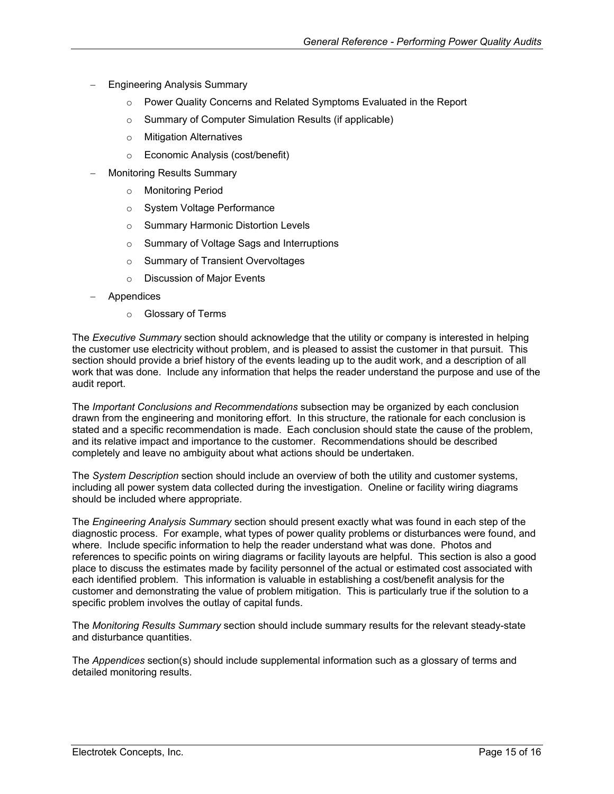- − Engineering Analysis Summary
	- Power Quality Concerns and Related Symptoms Evaluated in the Report
	- o Summary of Computer Simulation Results (if applicable)
	- o Mitigation Alternatives
	- o Economic Analysis (cost/benefit)
- − Monitoring Results Summary
	- o Monitoring Period
	- o System Voltage Performance
	- o Summary Harmonic Distortion Levels
	- o Summary of Voltage Sags and Interruptions
	- o Summary of Transient Overvoltages
	- o Discussion of Major Events
- − Appendices
	- o Glossary of Terms

The *Executive Summary* section should acknowledge that the utility or company is interested in helping the customer use electricity without problem, and is pleased to assist the customer in that pursuit. This section should provide a brief history of the events leading up to the audit work, and a description of all work that was done. Include any information that helps the reader understand the purpose and use of the audit report.

The *Important Conclusions and Recommendations* subsection may be organized by each conclusion drawn from the engineering and monitoring effort. In this structure, the rationale for each conclusion is stated and a specific recommendation is made. Each conclusion should state the cause of the problem, and its relative impact and importance to the customer. Recommendations should be described completely and leave no ambiguity about what actions should be undertaken.

The *System Description* section should include an overview of both the utility and customer systems, including all power system data collected during the investigation. Oneline or facility wiring diagrams should be included where appropriate.

The *Engineering Analysis Summary* section should present exactly what was found in each step of the diagnostic process. For example, what types of power quality problems or disturbances were found, and where. Include specific information to help the reader understand what was done. Photos and references to specific points on wiring diagrams or facility layouts are helpful. This section is also a good place to discuss the estimates made by facility personnel of the actual or estimated cost associated with each identified problem. This information is valuable in establishing a cost/benefit analysis for the customer and demonstrating the value of problem mitigation. This is particularly true if the solution to a specific problem involves the outlay of capital funds.

The *Monitoring Results Summary* section should include summary results for the relevant steady-state and disturbance quantities.

The *Appendices* section(s) should include supplemental information such as a glossary of terms and detailed monitoring results.